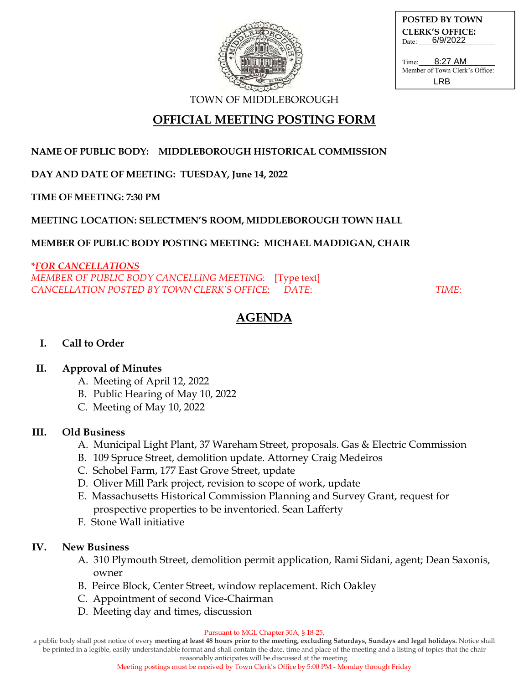

**POSTED BY TOWN CLERK'S OFFICE:** Date: 6/9/2022

Time: Member of Town Clerk's Office: 8:27 AM LRB

TOWN OF MIDDLEBOROUGH

# **OFFICIAL MEETING POSTING FORM**

### **NAME OF PUBLIC BODY: MIDDLEBOROUGH HISTORICAL COMMISSION**

**DAY AND DATE OF MEETING: TUESDAY, June 14, 2022**

**TIME OF MEETING: 7:30 PM**

### **MEETING LOCATION: SELECTMEN'S ROOM, MIDDLEBOROUGH TOWN HALL**

#### **MEMBER OF PUBLIC BODY POSTING MEETING: MICHAEL MADDIGAN, CHAIR**

#### **\****FOR CANCELLATIONS*

*MEMBER OF PUBLIC BODY CANCELLING MEETING*: [Type text] *CANCELLATION POSTED BY TOWN CLERK'S OFFICE*: *DATE*: *TIME*:

# **AGENDA**

### **I. Call to Order**

### **II. Approval of Minutes**

- A. Meeting of April 12, 2022
- B. Public Hearing of May 10, 2022
- C. Meeting of May 10, 2022

### **III. Old Business**

- A. Municipal Light Plant, 37 Wareham Street, proposals. Gas & Electric Commission
- B. 109 Spruce Street, demolition update. Attorney Craig Medeiros
- C. Schobel Farm, 177 East Grove Street, update
- D. Oliver Mill Park project, revision to scope of work, update
- E. Massachusetts Historical Commission Planning and Survey Grant, request for prospective properties to be inventoried. Sean Lafferty
- F. Stone Wall initiative

### **IV. New Business**

- A. 310 Plymouth Street, demolition permit application, Rami Sidani, agent; Dean Saxonis, owner
- B. Peirce Block, Center Street, window replacement. Rich Oakley
- C. Appointment of second Vice-Chairman
- D. Meeting day and times, discussion

#### Pursuant to MGL Chapter 30A, § 18-25,

a public body shall post notice of every **meeting at least 48 hours prior to the meeting, excluding Saturdays, Sundays and legal holidays.** Notice shall be printed in a legible, easily understandable format and shall contain the date, time and place of the meeting and a listing of topics that the chair

reasonably anticipates will be discussed at the meeting.